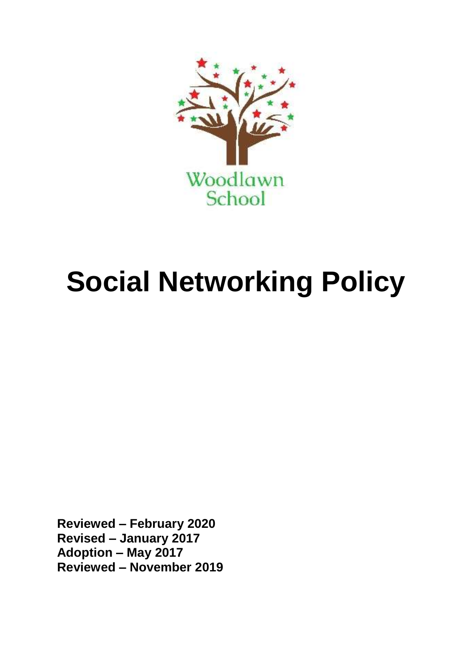

# **Social Networking Policy**

**Reviewed – February 2020 Revised – January 2017 Adoption – May 2017 Reviewed – November 2019**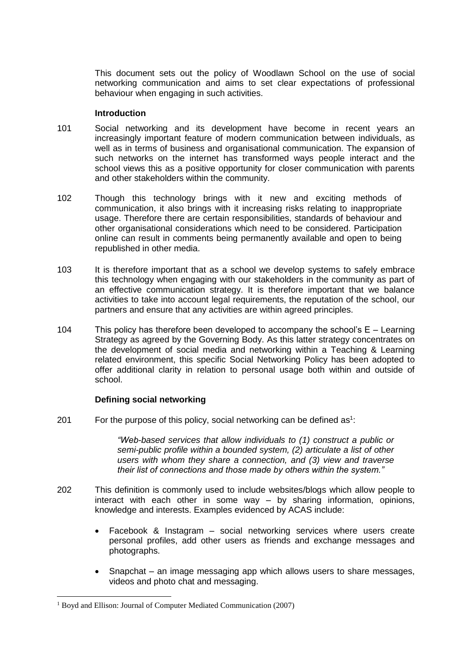This document sets out the policy of Woodlawn School on the use of social networking communication and aims to set clear expectations of professional behaviour when engaging in such activities.

#### **Introduction**

- 101 Social networking and its development have become in recent years an increasingly important feature of modern communication between individuals, as well as in terms of business and organisational communication. The expansion of such networks on the internet has transformed ways people interact and the school views this as a positive opportunity for closer communication with parents and other stakeholders within the community.
- 102 Though this technology brings with it new and exciting methods of communication, it also brings with it increasing risks relating to inappropriate usage. Therefore there are certain responsibilities, standards of behaviour and other organisational considerations which need to be considered. Participation online can result in comments being permanently available and open to being republished in other media.
- 103 It is therefore important that as a school we develop systems to safely embrace this technology when engaging with our stakeholders in the community as part of an effective communication strategy. It is therefore important that we balance activities to take into account legal requirements, the reputation of the school, our partners and ensure that any activities are within agreed principles.
- 104 This policy has therefore been developed to accompany the school's E Learning Strategy as agreed by the Governing Body. As this latter strategy concentrates on the development of social media and networking within a Teaching & Learning related environment, this specific Social Networking Policy has been adopted to offer additional clarity in relation to personal usage both within and outside of school.

## **Defining social networking**

201 For the purpose of this policy, social networking can be defined as<sup>1</sup>:

*"Web-based services that allow individuals to (1) construct a public or semi-public profile within a bounded system, (2) articulate a list of other users with whom they share a connection, and (3) view and traverse their list of connections and those made by others within the system."*

- 202 This definition is commonly used to include websites/blogs which allow people to interact with each other in some way – by sharing information, opinions, knowledge and interests. Examples evidenced by ACAS include:
	- Facebook & Instagram social networking services where users create personal profiles, add other users as friends and exchange messages and photographs.
	- Snapchat an image messaging app which allows users to share messages, videos and photo chat and messaging.

<sup>&</sup>lt;sup>1</sup> Boyd and Ellison: Journal of Computer Mediated Communication (2007)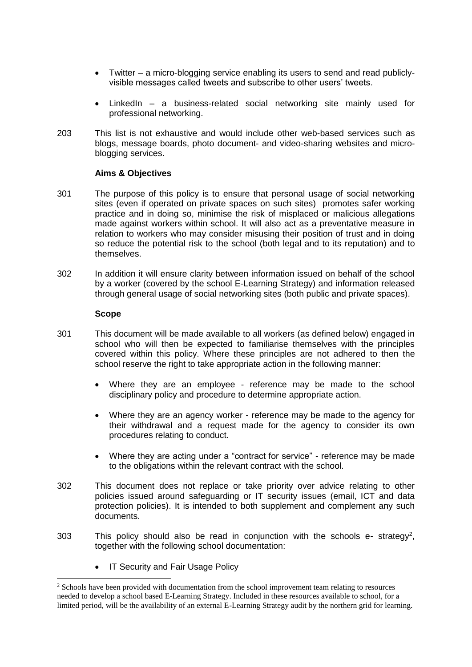- Twitter a micro-blogging service enabling its users to send and read publiclyvisible messages called tweets and subscribe to other users' tweets.
- LinkedIn a business-related social networking site mainly used for professional networking.
- 203 This list is not exhaustive and would include other web-based services such as blogs, message boards, photo document- and video-sharing websites and microblogging services.

#### **Aims & Objectives**

- 301 The purpose of this policy is to ensure that personal usage of social networking sites (even if operated on private spaces on such sites) promotes safer working practice and in doing so, minimise the risk of misplaced or malicious allegations made against workers within school. It will also act as a preventative measure in relation to workers who may consider misusing their position of trust and in doing so reduce the potential risk to the school (both legal and to its reputation) and to themselves.
- 302 In addition it will ensure clarity between information issued on behalf of the school by a worker (covered by the school E-Learning Strategy) and information released through general usage of social networking sites (both public and private spaces).

#### **Scope**

- 301 This document will be made available to all workers (as defined below) engaged in school who will then be expected to familiarise themselves with the principles covered within this policy. Where these principles are not adhered to then the school reserve the right to take appropriate action in the following manner:
	- Where they are an employee reference may be made to the school disciplinary policy and procedure to determine appropriate action.
	- Where they are an agency worker reference may be made to the agency for their withdrawal and a request made for the agency to consider its own procedures relating to conduct.
	- Where they are acting under a "contract for service" reference may be made to the obligations within the relevant contract with the school.
- 302 This document does not replace or take priority over advice relating to other policies issued around safeguarding or IT security issues (email, ICT and data protection policies). It is intended to both supplement and complement any such documents.
- 303 This policy should also be read in conjunction with the schools  $e$  strategy<sup>2</sup>, together with the following school documentation:
	- IT Security and Fair Usage Policy

<sup>&</sup>lt;sup>2</sup> Schools have been provided with documentation from the school improvement team relating to resources needed to develop a school based E-Learning Strategy. Included in these resources available to school, for a limited period, will be the availability of an external E-Learning Strategy audit by the northern grid for learning.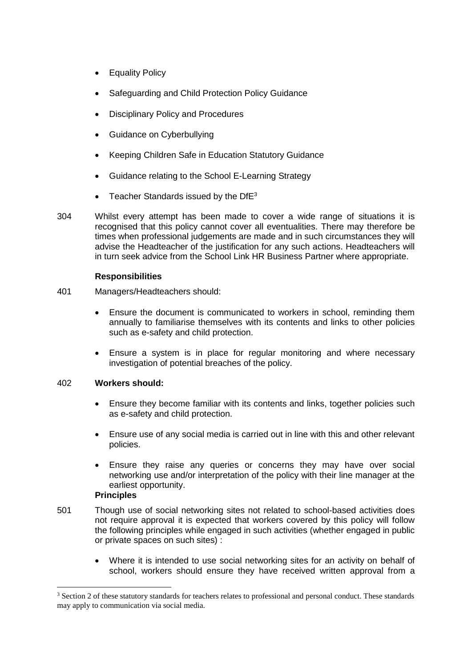- Equality Policy
- Safeguarding and Child Protection Policy Guidance
- Disciplinary Policy and Procedures
- Guidance on Cyberbullying
- Keeping Children Safe in Education Statutory Guidance
- Guidance relating to the School E-Learning Strategy
- Teacher Standards issued by the  $DFB3}$
- 304 Whilst every attempt has been made to cover a wide range of situations it is recognised that this policy cannot cover all eventualities. There may therefore be times when professional judgements are made and in such circumstances they will advise the Headteacher of the justification for any such actions. Headteachers will in turn seek advice from the School Link HR Business Partner where appropriate.

# **Responsibilities**

- 401 Managers/Headteachers should:
	- Ensure the document is communicated to workers in school, reminding them annually to familiarise themselves with its contents and links to other policies such as e-safety and child protection.
	- Ensure a system is in place for regular monitoring and where necessary investigation of potential breaches of the policy.

## 402 **Workers should:**

- Ensure they become familiar with its contents and links, together policies such as e-safety and child protection.
- Ensure use of any social media is carried out in line with this and other relevant policies.
- Ensure they raise any queries or concerns they may have over social networking use and/or interpretation of the policy with their line manager at the earliest opportunity.

## **Principles**

- 501 Though use of social networking sites not related to school-based activities does not require approval it is expected that workers covered by this policy will follow the following principles while engaged in such activities (whether engaged in public or private spaces on such sites) :
	- Where it is intended to use social networking sites for an activity on behalf of school, workers should ensure they have received written approval from a

<sup>&</sup>lt;sup>3</sup> Section 2 of these statutory standards for teachers relates to professional and personal conduct. These standards may apply to communication via social media.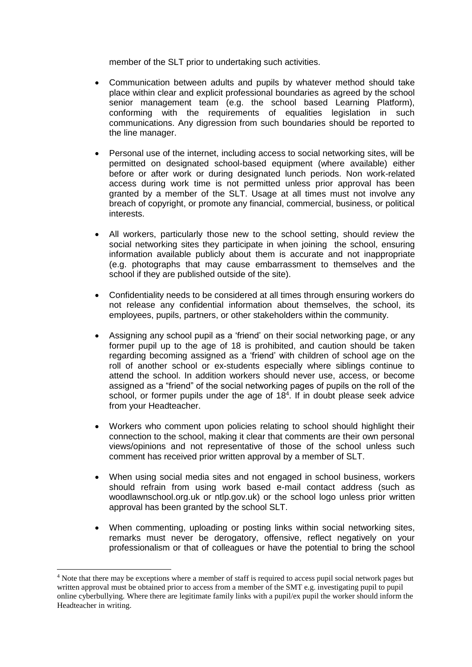member of the SLT prior to undertaking such activities.

- Communication between adults and pupils by whatever method should take place within clear and explicit professional boundaries as agreed by the school senior management team (e.g. the school based Learning Platform), conforming with the requirements of equalities legislation in such communications. Any digression from such boundaries should be reported to the line manager.
- Personal use of the internet, including access to social networking sites, will be permitted on designated school-based equipment (where available) either before or after work or during designated lunch periods. Non work-related access during work time is not permitted unless prior approval has been granted by a member of the SLT. Usage at all times must not involve any breach of copyright, or promote any financial, commercial, business, or political interests.
- All workers, particularly those new to the school setting, should review the social networking sites they participate in when joining the school, ensuring information available publicly about them is accurate and not inappropriate (e.g. photographs that may cause embarrassment to themselves and the school if they are published outside of the site).
- Confidentiality needs to be considered at all times through ensuring workers do not release any confidential information about themselves, the school, its employees, pupils, partners, or other stakeholders within the community.
- Assigning any school pupil as a 'friend' on their social networking page, or any former pupil up to the age of 18 is prohibited, and caution should be taken regarding becoming assigned as a 'friend' with children of school age on the roll of another school or ex-students especially where siblings continue to attend the school. In addition workers should never use, access, or become assigned as a "friend" of the social networking pages of pupils on the roll of the school, or former pupils under the age of  $18<sup>4</sup>$ . If in doubt please seek advice from your Headteacher.
- Workers who comment upon policies relating to school should highlight their connection to the school, making it clear that comments are their own personal views/opinions and not representative of those of the school unless such comment has received prior written approval by a member of SLT.
- When using social media sites and not engaged in school business, workers should refrain from using work based e-mail contact address (such as woodlawnschool.org.uk or ntlp.gov.uk) or the school logo unless prior written approval has been granted by the school SLT.
- When commenting, uploading or posting links within social networking sites, remarks must never be derogatory, offensive, reflect negatively on your professionalism or that of colleagues or have the potential to bring the school

<sup>&</sup>lt;sup>4</sup> Note that there may be exceptions where a member of staff is required to access pupil social network pages but written approval must be obtained prior to access from a member of the SMT e.g. investigating pupil to pupil online cyberbullying. Where there are legitimate family links with a pupil/ex pupil the worker should inform the Headteacher in writing.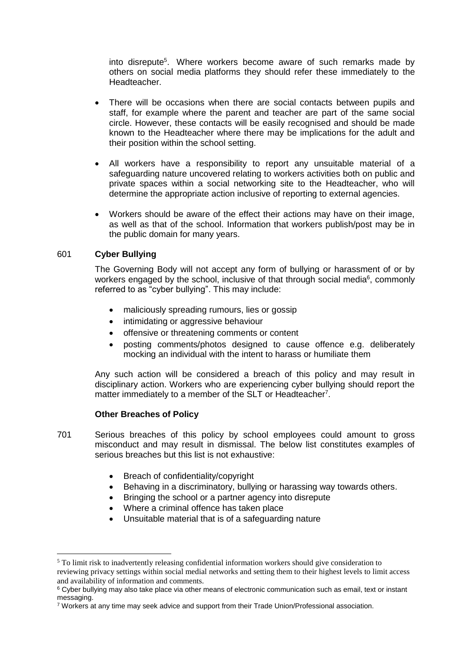into disrepute<sup>5</sup>. Where workers become aware of such remarks made by others on social media platforms they should refer these immediately to the Headteacher.

- There will be occasions when there are social contacts between pupils and staff, for example where the parent and teacher are part of the same social circle. However, these contacts will be easily recognised and should be made known to the Headteacher where there may be implications for the adult and their position within the school setting.
- All workers have a responsibility to report any unsuitable material of a safeguarding nature uncovered relating to workers activities both on public and private spaces within a social networking site to the Headteacher, who will determine the appropriate action inclusive of reporting to external agencies.
- Workers should be aware of the effect their actions may have on their image, as well as that of the school. Information that workers publish/post may be in the public domain for many years.

## 601 **Cyber Bullying**

1

The Governing Body will not accept any form of bullying or harassment of or by workers engaged by the school, inclusive of that through social media $6$ , commonly referred to as "cyber bullying". This may include:

- maliciously spreading rumours, lies or gossip
- intimidating or aggressive behaviour
- offensive or threatening comments or content
- posting comments/photos designed to cause offence e.g. deliberately mocking an individual with the intent to harass or humiliate them

Any such action will be considered a breach of this policy and may result in disciplinary action. Workers who are experiencing cyber bullying should report the matter immediately to a member of the SLT or Headteacher<sup>7</sup>.

#### **Other Breaches of Policy**

- 701 Serious breaches of this policy by school employees could amount to gross misconduct and may result in dismissal. The below list constitutes examples of serious breaches but this list is not exhaustive:
	- Breach of confidentiality/copyright
	- Behaving in a discriminatory, bullying or harassing way towards others.
	- Bringing the school or a partner agency into disrepute
	- Where a criminal offence has taken place
	- Unsuitable material that is of a safeguarding nature

<sup>5</sup> To limit risk to inadvertently releasing confidential information workers should give consideration to reviewing privacy settings within social medial networks and setting them to their highest levels to limit access and availability of information and comments.

<sup>&</sup>lt;sup>6</sup> Cyber bullying may also take place via other means of electronic communication such as email, text or instant messaging.

<sup>7</sup> Workers at any time may seek advice and support from their Trade Union/Professional association.